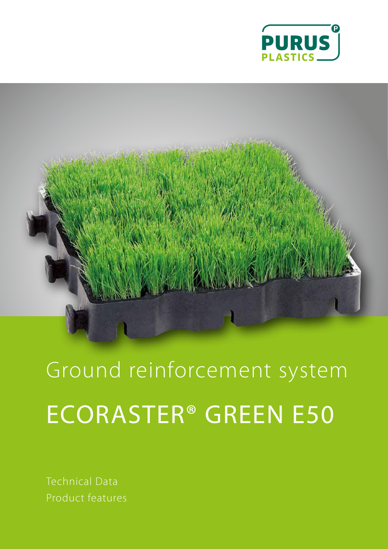



Ground reinforcement system ECORASTER® GREEN E50

Technical Data Product features